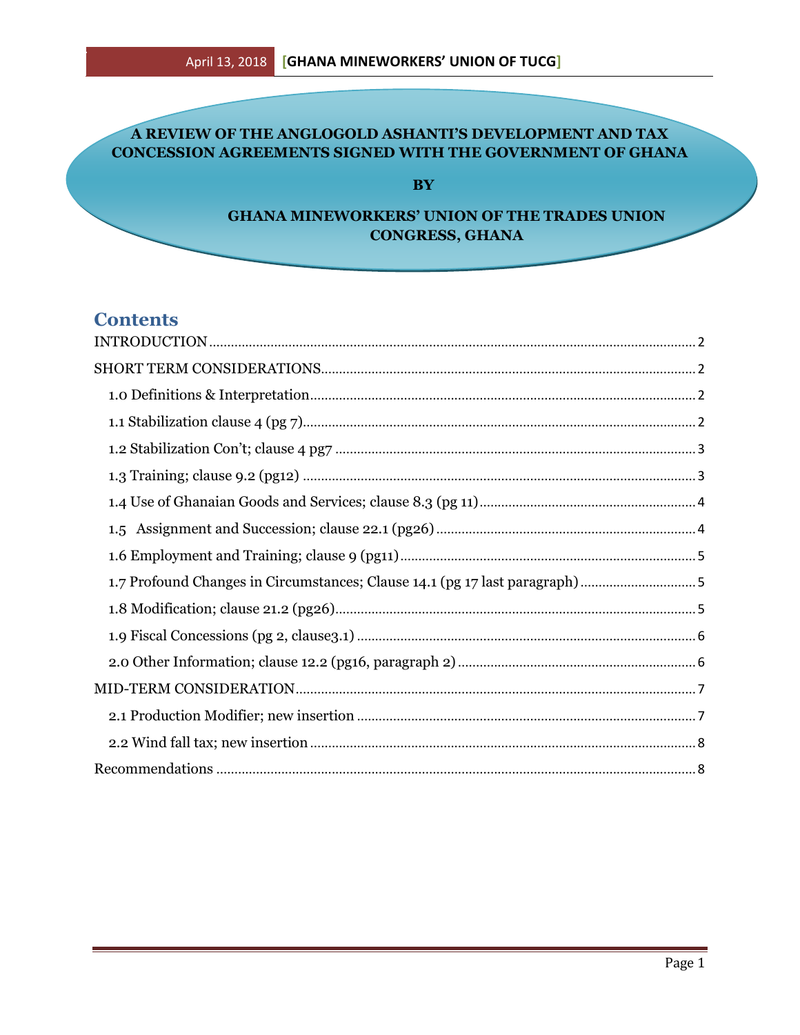# A REVIEW OF THE ANGLOGOLD ASHANTI'S DEVELOPMENT AND TAX **CONCESSION AGREEMENTS SIGNED WITH THE GOVERNMENT OF GHANA**

**BY** 

## **GHANA MINEWORKERS' UNION OF THE TRADES UNION CONGRESS, GHANA**

# **Contents**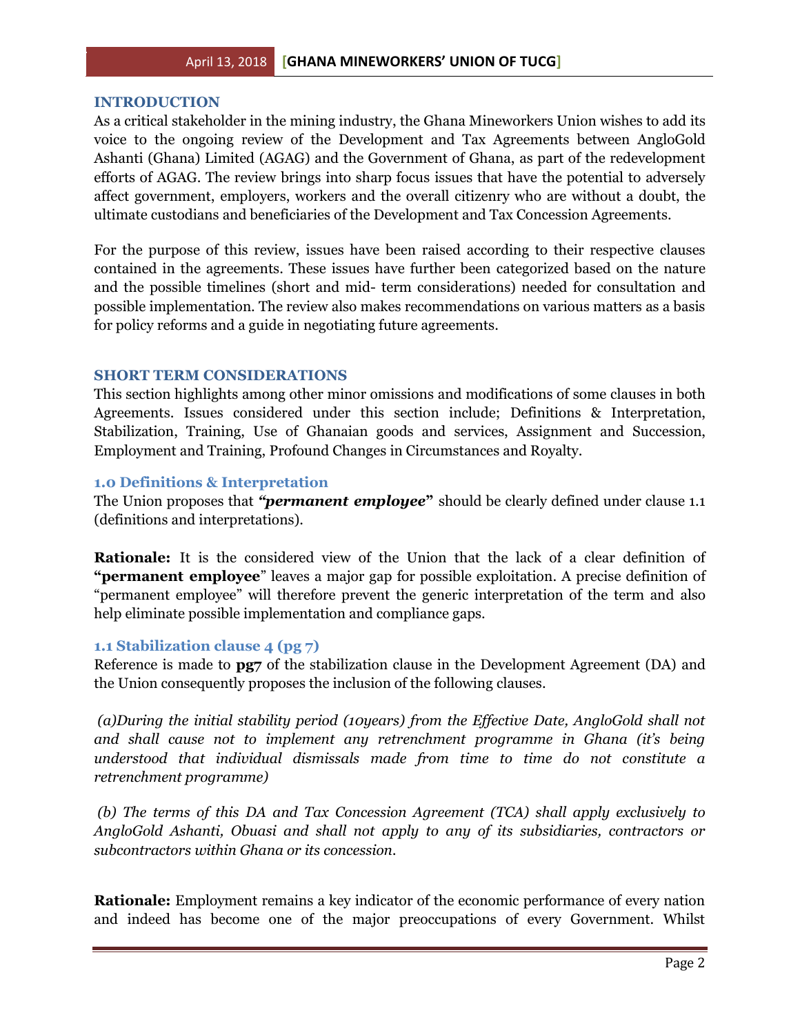#### <span id="page-1-0"></span>**INTRODUCTION**

As a critical stakeholder in the mining industry, the Ghana Mineworkers Union wishes to add its voice to the ongoing review of the Development and Tax Agreements between AngloGold Ashanti (Ghana) Limited (AGAG) and the Government of Ghana, as part of the redevelopment efforts of AGAG. The review brings into sharp focus issues that have the potential to adversely affect government, employers, workers and the overall citizenry who are without a doubt, the ultimate custodians and beneficiaries of the Development and Tax Concession Agreements.

For the purpose of this review, issues have been raised according to their respective clauses contained in the agreements. These issues have further been categorized based on the nature and the possible timelines (short and mid- term considerations) needed for consultation and possible implementation. The review also makes recommendations on various matters as a basis for policy reforms and a guide in negotiating future agreements.

#### <span id="page-1-1"></span>**SHORT TERM CONSIDERATIONS**

This section highlights among other minor omissions and modifications of some clauses in both Agreements. Issues considered under this section include; Definitions & Interpretation, Stabilization, Training, Use of Ghanaian goods and services, Assignment and Succession, Employment and Training, Profound Changes in Circumstances and Royalty.

### <span id="page-1-2"></span>**1.0 Definitions & Interpretation**

The Union proposes that *"permanent employee***"** should be clearly defined under clause 1.1 (definitions and interpretations).

**Rationale:** It is the considered view of the Union that the lack of a clear definition of **"permanent employee**" leaves a major gap for possible exploitation. A precise definition of "permanent employee" will therefore prevent the generic interpretation of the term and also help eliminate possible implementation and compliance gaps.

### <span id="page-1-3"></span>**1.1 Stabilization clause 4 (pg 7)**

Reference is made to **pg7** of the stabilization clause in the Development Agreement (DA) and the Union consequently proposes the inclusion of the following clauses.

*(a)During the initial stability period (10years) from the Effective Date, AngloGold shall not and shall cause not to implement any retrenchment programme in Ghana (it's being understood that individual dismissals made from time to time do not constitute a retrenchment programme)*

*(b) The terms of this DA and Tax Concession Agreement (TCA) shall apply exclusively to AngloGold Ashanti, Obuasi and shall not apply to any of its subsidiaries, contractors or subcontractors within Ghana or its concession.*

**Rationale:** Employment remains a key indicator of the economic performance of every nation and indeed has become one of the major preoccupations of every Government. Whilst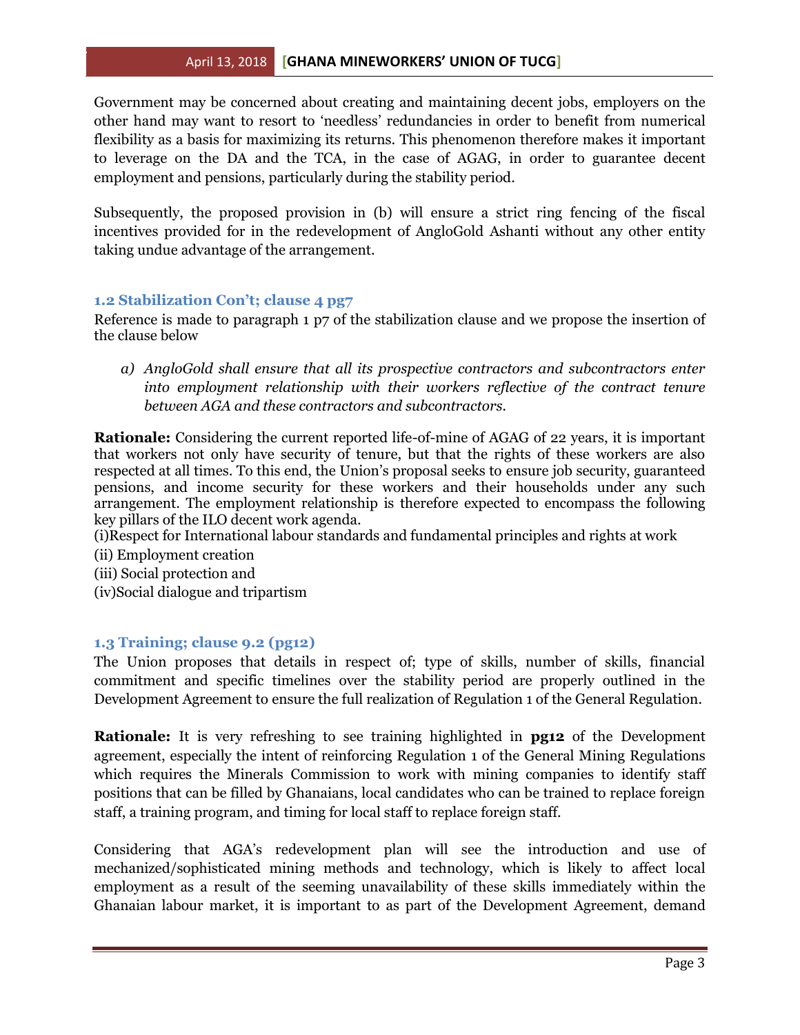### April 13, 2018 **[GHANA MINEWORKERS' UNION OF TUCG]**

Government may be concerned about creating and maintaining decent jobs, employers on the other hand may want to resort to 'needless' redundancies in order to benefit from numerical flexibility as a basis for maximizing its returns. This phenomenon therefore makes it important to leverage on the DA and the TCA, in the case of AGAG, in order to guarantee decent employment and pensions, particularly during the stability period.

Subsequently, the proposed provision in (b) will ensure a strict ring fencing of the fiscal incentives provided for in the redevelopment of AngloGold Ashanti without any other entity taking undue advantage of the arrangement.

### <span id="page-2-0"></span>**1.2 Stabilization Con't; clause 4 pg7**

Reference is made to paragraph 1 p7 of the stabilization clause and we propose the insertion of the clause below

*a) AngloGold shall ensure that all its prospective contractors and subcontractors enter into employment relationship with their workers reflective of the contract tenure between AGA and these contractors and subcontractors.*

**Rationale:** Considering the current reported life-of-mine of AGAG of 22 years, it is important that workers not only have security of tenure, but that the rights of these workers are also respected at all times. To this end, the Union's proposal seeks to ensure job security, guaranteed pensions, and income security for these workers and their households under any such arrangement. The employment relationship is therefore expected to encompass the following key pillars of the ILO decent work agenda.

(i)Respect for International labour standards and fundamental principles and rights at work

- (ii) Employment creation
- (iii) Social protection and
- (iv)Social dialogue and tripartism

### <span id="page-2-1"></span>**1.3 Training; clause 9.2 (pg12)**

The Union proposes that details in respect of; type of skills, number of skills, financial commitment and specific timelines over the stability period are properly outlined in the Development Agreement to ensure the full realization of Regulation 1 of the General Regulation.

**Rationale:** It is very refreshing to see training highlighted in **pg12** of the Development agreement, especially the intent of reinforcing Regulation 1 of the General Mining Regulations which requires the Minerals Commission to work with mining companies to identify staff positions that can be filled by Ghanaians, local candidates who can be trained to replace foreign staff, a training program, and timing for local staff to replace foreign staff.

Considering that AGA's redevelopment plan will see the introduction and use of mechanized/sophisticated mining methods and technology, which is likely to affect local employment as a result of the seeming unavailability of these skills immediately within the Ghanaian labour market, it is important to as part of the Development Agreement, demand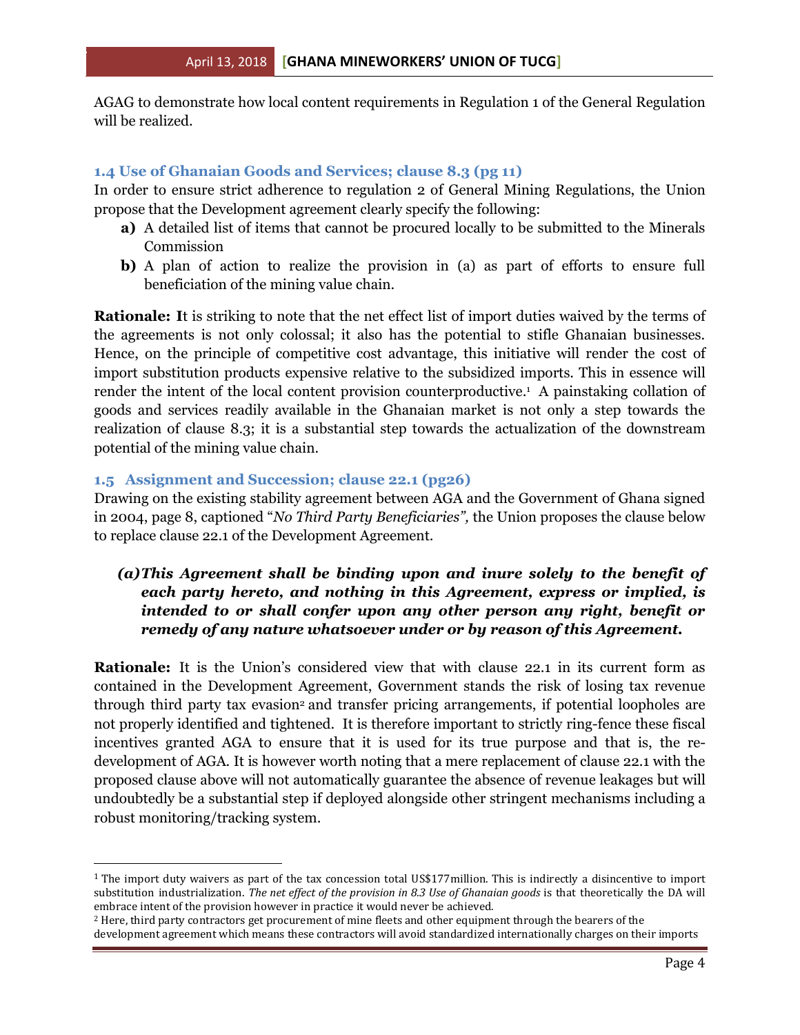AGAG to demonstrate how local content requirements in Regulation 1 of the General Regulation will be realized.

### <span id="page-3-0"></span>**1.4 Use of Ghanaian Goods and Services; clause 8.3 (pg 11)**

In order to ensure strict adherence to regulation 2 of General Mining Regulations, the Union propose that the Development agreement clearly specify the following:

- **a)** A detailed list of items that cannot be procured locally to be submitted to the Minerals Commission
- **b)** A plan of action to realize the provision in (a) as part of efforts to ensure full beneficiation of the mining value chain.

**Rationale: I**t is striking to note that the net effect list of import duties waived by the terms of the agreements is not only colossal; it also has the potential to stifle Ghanaian businesses. Hence, on the principle of competitive cost advantage, this initiative will render the cost of import substitution products expensive relative to the subsidized imports. This in essence will render the intent of the local content provision counterproductive. <sup>1</sup> A painstaking collation of goods and services readily available in the Ghanaian market is not only a step towards the realization of clause 8.3; it is a substantial step towards the actualization of the downstream potential of the mining value chain.

### <span id="page-3-1"></span>**1.5 Assignment and Succession; clause 22.1 (pg26)**

 $\overline{\phantom{a}}$ 

Drawing on the existing stability agreement between AGA and the Government of Ghana signed in 2004, page 8, captioned "*No Third Party Beneficiaries",* the Union proposes the clause below to replace clause 22.1 of the Development Agreement.

# *(a)This Agreement shall be binding upon and inure solely to the benefit of each party hereto, and nothing in this Agreement, express or implied, is intended to or shall confer upon any other person any right, benefit or remedy of any nature whatsoever under or by reason of this Agreement.*

**Rationale:** It is the Union's considered view that with clause 22.1 in its current form as contained in the Development Agreement, Government stands the risk of losing tax revenue through third party tax evasion<sup>2</sup> and transfer pricing arrangements, if potential loopholes are not properly identified and tightened. It is therefore important to strictly ring-fence these fiscal incentives granted AGA to ensure that it is used for its true purpose and that is, the redevelopment of AGA. It is however worth noting that a mere replacement of clause 22.1 with the proposed clause above will not automatically guarantee the absence of revenue leakages but will undoubtedly be a substantial step if deployed alongside other stringent mechanisms including a robust monitoring/tracking system.

 $1$  The import duty waivers as part of the tax concession total US\$177 million. This is indirectly a disincentive to import substitution industrialization. *The net effect of the provision in 8.3 Use of Ghanaian goods* is that theoretically the DA will embrace intent of the provision however in practice it would never be achieved.

<sup>2</sup> Here, third party contractors get procurement of mine fleets and other equipment through the bearers of the development agreement which means these contractors will avoid standardized internationally charges on their imports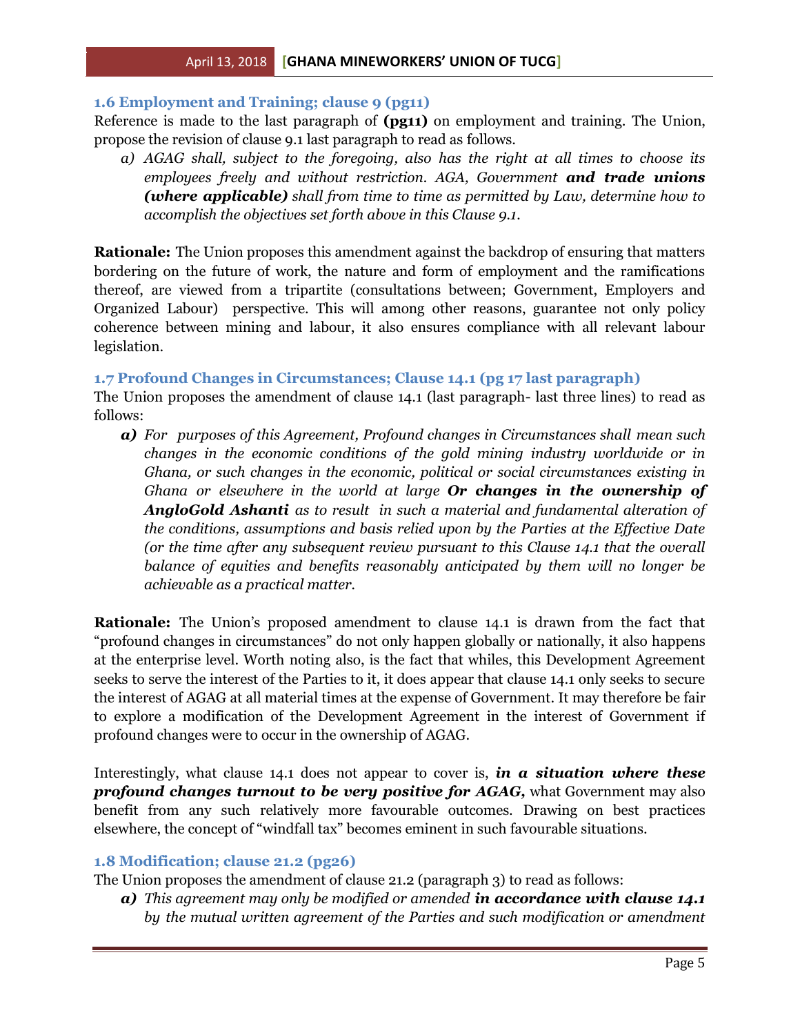### <span id="page-4-0"></span>**1.6 Employment and Training; clause 9 (pg11)**

Reference is made to the last paragraph of **(pg11)** on employment and training. The Union, propose the revision of clause 9.1 last paragraph to read as follows.

*a) AGAG shall, subject to the foregoing, also has the right at all times to choose its employees freely and without restriction. AGA, Government and trade unions (where applicable) shall from time to time as permitted by Law, determine how to accomplish the objectives set forth above in this Clause 9.1.*

**Rationale:** The Union proposes this amendment against the backdrop of ensuring that matters bordering on the future of work, the nature and form of employment and the ramifications thereof, are viewed from a tripartite (consultations between; Government, Employers and Organized Labour) perspective. This will among other reasons, guarantee not only policy coherence between mining and labour, it also ensures compliance with all relevant labour legislation.

### <span id="page-4-1"></span>**1.7 Profound Changes in Circumstances; Clause 14.1 (pg 17 last paragraph)**

The Union proposes the amendment of clause 14.1 (last paragraph- last three lines) to read as follows:

*a) For purposes of this Agreement, Profound changes in Circumstances shall mean such changes in the economic conditions of the gold mining industry worldwide or in Ghana, or such changes in the economic, political or social circumstances existing in Ghana or elsewhere in the world at large Or changes in the ownership of AngloGold Ashanti as to result in such a material and fundamental alteration of the conditions, assumptions and basis relied upon by the Parties at the Effective Date (or the time after any subsequent review pursuant to this Clause 14.1 that the overall balance of equities and benefits reasonably anticipated by them will no longer be achievable as a practical matter.*

**Rationale:** The Union's proposed amendment to clause 14.1 is drawn from the fact that "profound changes in circumstances" do not only happen globally or nationally, it also happens at the enterprise level. Worth noting also, is the fact that whiles, this Development Agreement seeks to serve the interest of the Parties to it, it does appear that clause 14.1 only seeks to secure the interest of AGAG at all material times at the expense of Government. It may therefore be fair to explore a modification of the Development Agreement in the interest of Government if profound changes were to occur in the ownership of AGAG.

Interestingly, what clause 14.1 does not appear to cover is, *in a situation where these profound changes turnout to be very positive for AGAG,* what Government may also benefit from any such relatively more favourable outcomes. Drawing on best practices elsewhere, the concept of "windfall tax" becomes eminent in such favourable situations.

#### <span id="page-4-2"></span>**1.8 Modification; clause 21.2 (pg26)**

The Union proposes the amendment of clause 21.2 (paragraph 3) to read as follows:

*a) This agreement may only be modified or amended in accordance with clause 14.1 by the mutual written agreement of the Parties and such modification or amendment*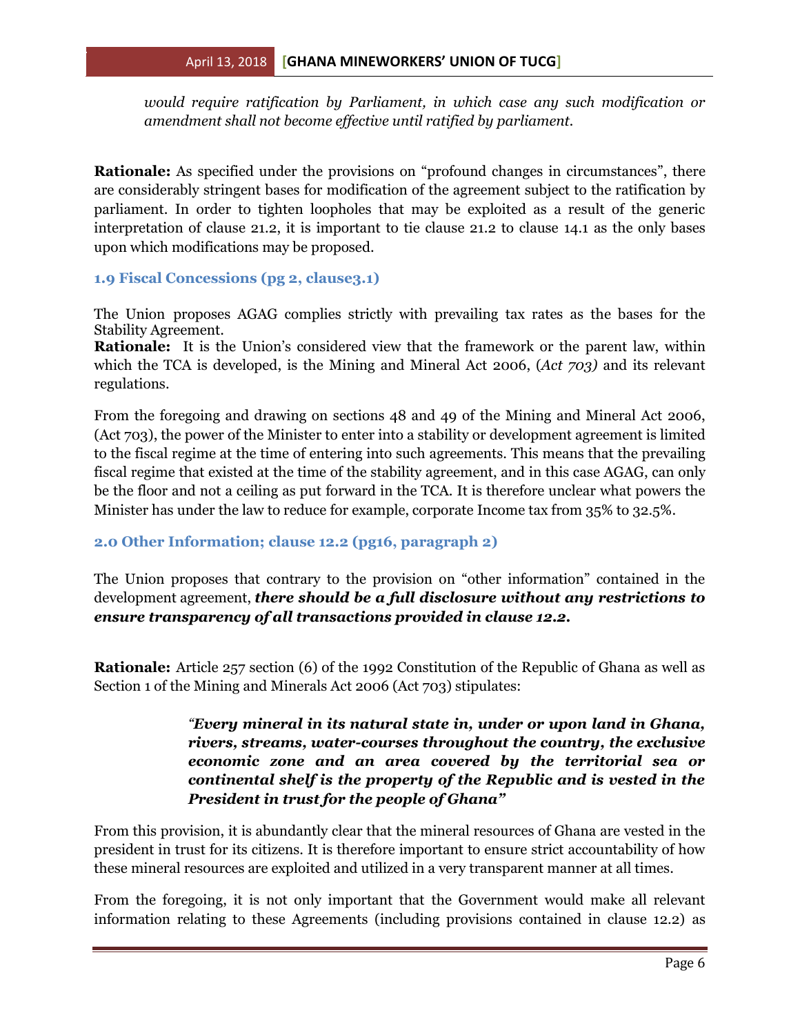*would require ratification by Parliament, in which case any such modification or amendment shall not become effective until ratified by parliament.*

**Rationale:** As specified under the provisions on "profound changes in circumstances", there are considerably stringent bases for modification of the agreement subject to the ratification by parliament. In order to tighten loopholes that may be exploited as a result of the generic interpretation of clause 21.2, it is important to tie clause 21.2 to clause 14.1 as the only bases upon which modifications may be proposed.

<span id="page-5-0"></span>**1.9 Fiscal Concessions (pg 2, clause3.1)**

The Union proposes AGAG complies strictly with prevailing tax rates as the bases for the Stability Agreement.

**Rationale:** It is the Union's considered view that the framework or the parent law, within which the TCA is developed, is the Mining and Mineral Act 2006, (*Act 703)* and its relevant regulations.

From the foregoing and drawing on sections 48 and 49 of the Mining and Mineral Act 2006, (Act 703), the power of the Minister to enter into a stability or development agreement is limited to the fiscal regime at the time of entering into such agreements. This means that the prevailing fiscal regime that existed at the time of the stability agreement, and in this case AGAG, can only be the floor and not a ceiling as put forward in the TCA. It is therefore unclear what powers the Minister has under the law to reduce for example, corporate Income tax from 35% to 32.5%.

### <span id="page-5-1"></span>**2.0 Other Information; clause 12.2 (pg16, paragraph 2)**

The Union proposes that contrary to the provision on "other information" contained in the development agreement, *there should be a full disclosure without any restrictions to ensure transparency of all transactions provided in clause 12.2.* 

**Rationale:** Article 257 section (6) of the 1992 Constitution of the Republic of Ghana as well as Section 1 of the Mining and Minerals Act 2006 (Act 703) stipulates:

# *"Every mineral in its natural state in, under or upon land in Ghana, rivers, streams, water-courses throughout the country, the exclusive economic zone and an area covered by the territorial sea or continental shelf is the property of the Republic and is vested in the President in trust for the people of Ghana"*

From this provision, it is abundantly clear that the mineral resources of Ghana are vested in the president in trust for its citizens. It is therefore important to ensure strict accountability of how these mineral resources are exploited and utilized in a very transparent manner at all times.

From the foregoing, it is not only important that the Government would make all relevant information relating to these Agreements (including provisions contained in clause 12.2) as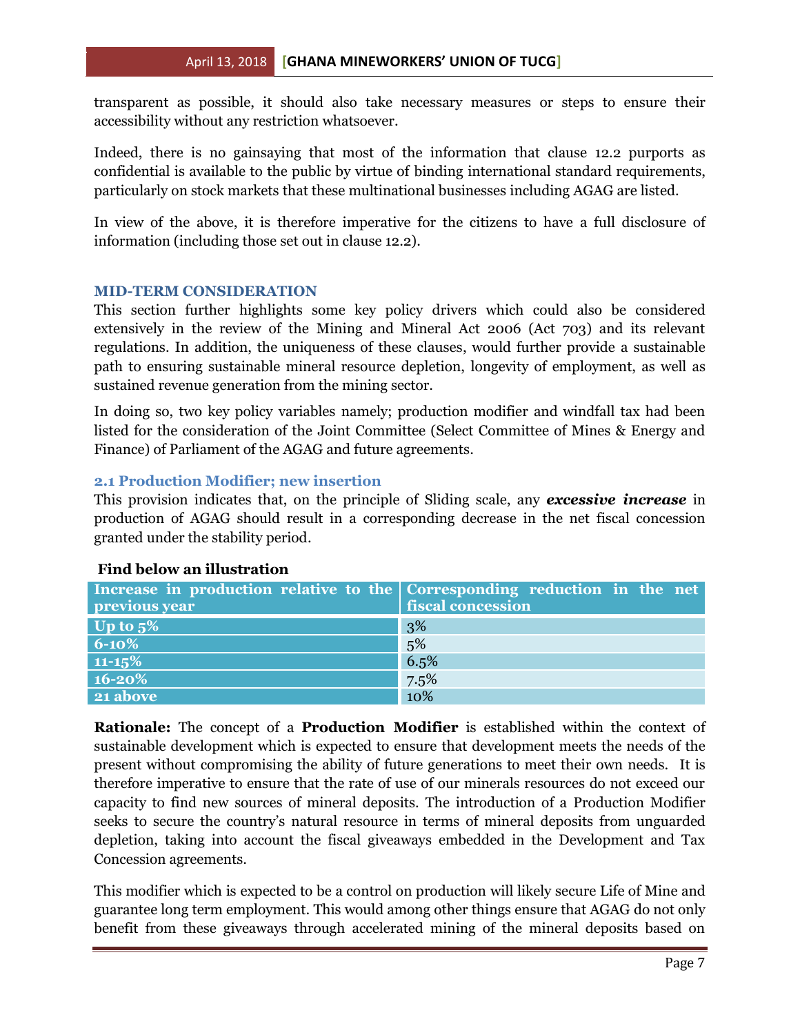transparent as possible, it should also take necessary measures or steps to ensure their accessibility without any restriction whatsoever.

Indeed, there is no gainsaying that most of the information that clause 12.2 purports as confidential is available to the public by virtue of binding international standard requirements, particularly on stock markets that these multinational businesses including AGAG are listed.

In view of the above, it is therefore imperative for the citizens to have a full disclosure of information (including those set out in clause 12.2).

### <span id="page-6-0"></span>**MID-TERM CONSIDERATION**

This section further highlights some key policy drivers which could also be considered extensively in the review of the Mining and Mineral Act 2006 (Act 703) and its relevant regulations. In addition, the uniqueness of these clauses, would further provide a sustainable path to ensuring sustainable mineral resource depletion, longevity of employment, as well as sustained revenue generation from the mining sector.

In doing so, two key policy variables namely; production modifier and windfall tax had been listed for the consideration of the Joint Committee (Select Committee of Mines & Energy and Finance) of Parliament of the AGAG and future agreements.

### <span id="page-6-1"></span>**2.1 Production Modifier; new insertion**

This provision indicates that, on the principle of Sliding scale, any *excessive increase* in production of AGAG should result in a corresponding decrease in the net fiscal concession granted under the stability period.

|  | <b>Find below an illustration</b> |
|--|-----------------------------------|
|--|-----------------------------------|

| Increase in production relative to the Corresponding reduction in the net<br>previous year | fiscal concession |
|--------------------------------------------------------------------------------------------|-------------------|
| Up to $5\%$                                                                                | 3%                |
| $6 - 10\%$                                                                                 | 5%                |
| $11 - 15\%$                                                                                | 6.5%              |
| $16 - 20%$                                                                                 | 7.5%              |
| 21 above                                                                                   | 10%               |

**Rationale:** The concept of a **Production Modifier** is established within the context of sustainable development which is expected to ensure that development meets the needs of the present without compromising the ability of future generations to meet their own needs. It is therefore imperative to ensure that the rate of use of our minerals resources do not exceed our capacity to find new sources of mineral deposits. The introduction of a Production Modifier seeks to secure the country's natural resource in terms of mineral deposits from unguarded depletion, taking into account the fiscal giveaways embedded in the Development and Tax Concession agreements.

This modifier which is expected to be a control on production will likely secure Life of Mine and guarantee long term employment. This would among other things ensure that AGAG do not only benefit from these giveaways through accelerated mining of the mineral deposits based on